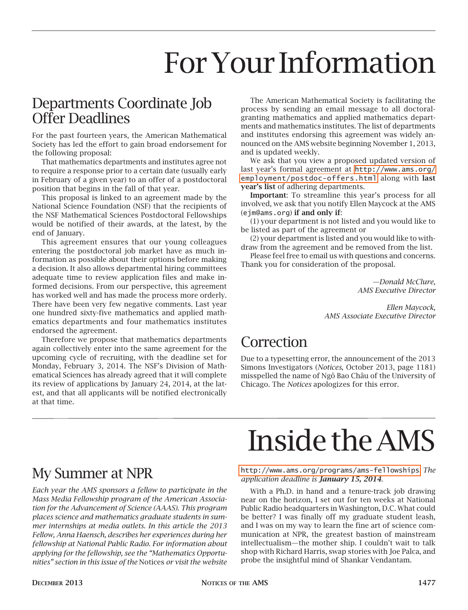## For Your Information

#### Departments Coordinate Job Offer Deadlines

For the past fourteen years, the American Mathematical Society has led the effort to gain broad endorsement for the following proposal:

That mathematics departments and institutes agree not to require a response prior to a certain date (usually early in February of a given year) to an offer of a postdoctoral position that begins in the fall of that year.

This proposal is linked to an agreement made by the National Science Foundation (NSF) that the recipients of the NSF Mathematical Sciences Postdoctoral Fellowships would be notified of their awards, at the latest, by the end of January.

This agreement ensures that our young colleagues entering the postdoctoral job market have as much information as possible about their options before making a decision. It also allows departmental hiring committees adequate time to review application files and make informed decisions. From our perspective, this agreement has worked well and has made the process more orderly. There have been very few negative comments. Last year one hundred sixty-five mathematics and applied mathematics departments and four mathematics institutes endorsed the agreement.

Therefore we propose that mathematics departments again collectively enter into the same agreement for the upcoming cycle of recruiting, with the deadline set for Monday, February 3, 2014. The NSF's Division of Mathematical Sciences has already agreed that it will complete its review of applications by January 24, 2014, at the latest, and that all applicants will be notified electronically at that time.

The American Mathematical Society is facilitating the process by sending an email message to all doctoralgranting mathematics and applied mathematics departments and mathematics institutes. The list of departments and institutes endorsing this agreement was widely announced on the AMS website beginning November 1, 2013, and is updated weekly.

We ask that you view a proposed updated version of last year's formal agreement at [http://www.ams.org/](http://www.ams.org/employment/postdoc-offers.html) [employment/postdoc-offers.html](http://www.ams.org/employment/postdoc-offers.html) along with last year's list of adhering departments.

Important: To streamline this year's process for all involved, we ask that you notify Ellen Maycock at the AMS (ejm@ams.org) if and only if:

(1) your department is not listed and you would like to be listed as part of the agreement or

(2) your department is listed and you would like to withdraw from the agreement and be removed from the list.

Please feel free to email us with questions and concerns. Thank you for consideration of the proposal.

> *—Donald McClure, AMS Executive Director*

*Ellen Maycock, AMS Associate Executive Director*

## Correction

Due to a typesetting error, the announcement of the 2013 Simons Investigators (*Notices*, October 2013, page 1181) misspelled the name of Ngô Bao Châu of the University of Chicago. The *Notices* apologizes for this error.

## My Summer at NPR

*Each year the AMS sponsors a fellow to participate in the Mass Media Fellowship program of the American Association for the Advancement of Science (AAAS). This program places science and mathematics graduate students in summer internships at media outlets. In this article the 2013 Fellow, Anna Haensch, describes her experiences during her fellowship at National Public Radio. For information about applying for the fellowship, see the "Mathematics Opportunities" section in this issue of the* Notices *or visit the website*

# Inside the AMS

<http://www.ams.org/programs/ams-fellowships>. *The application deadline is January 15, 2014*.

With a Ph.D. in hand and a tenure-track job drawing near on the horizon, I set out for ten weeks at National Public Radio headquarters in Washington, D.C. What could be better? I was finally off my graduate student leash, and I was on my way to learn the fine art of science communication at NPR, the greatest bastion of mainstream intellectualism—the mother ship. I couldn't wait to talk shop with Richard Harris, swap stories with Joe Palca, and probe the insightful mind of Shankar Vendantam.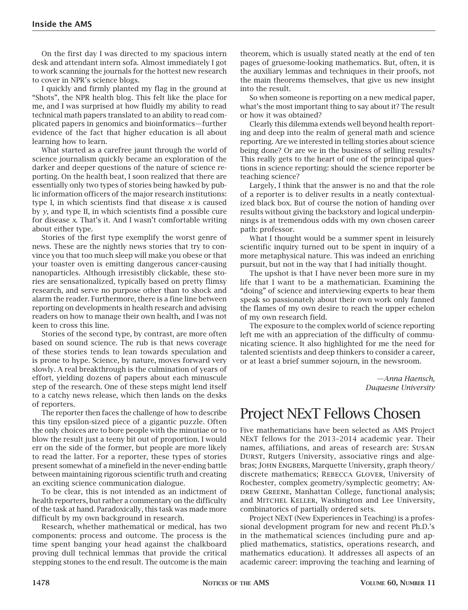On the first day I was directed to my spacious intern desk and attendant intern sofa. Almost immediately I got to work scanning the journals for the hottest new research to cover in NPR's science blogs.

I quickly and firmly planted my flag in the ground at "Shots", the NPR health blog. This felt like the place for me, and I was surprised at how fluidly my ability to read technical math papers translated to an ability to read complicated papers in genomics and bioinformatics—further evidence of the fact that higher education is all about learning how to learn.

What started as a carefree jaunt through the world of science journalism quickly became an exploration of the darker and deeper questions of the nature of science reporting. On the health beat, I soon realized that there are essentially only two types of stories being hawked by public information officers of the major research institutions: type I, in which scientists find that disease *x* is caused by *y*, and type II, in which scientists find a possible cure for disease *x*. That's it. And I wasn't comfortable writing about either type.

Stories of the first type exemplify the worst genre of news. These are the nightly news stories that try to convince you that too much sleep will make you obese or that your toaster oven is emitting dangerous cancer-causing nanoparticles. Although irresistibly clickable, these stories are sensationalized, typically based on pretty flimsy research, and serve no purpose other than to shock and alarm the reader. Furthermore, there is a fine line between reporting on developments in health research and advising readers on how to manage their own health, and I was not keen to cross this line.

Stories of the second type, by contrast, are more often based on sound science. The rub is that news coverage of these stories tends to lean towards speculation and is prone to hype. Science, by nature, moves forward very slowly. A real breakthrough is the culmination of years of effort, yielding dozens of papers about each minuscule step of the research. One of these steps might lend itself to a catchy news release, which then lands on the desks of reporters.

The reporter then faces the challenge of how to describe this tiny epsilon-sized piece of a gigantic puzzle. Often the only choices are to bore people with the minutiae or to blow the result just a teeny bit out of proportion. I would err on the side of the former, but people are more likely to read the latter. For a reporter, these types of stories present somewhat of a minefield in the never-ending battle between maintaining rigorous scientific truth and creating an exciting science communication dialogue.

To be clear, this is not intended as an indictment of health reporters, but rather a commentary on the difficulty of the task at hand. Paradoxically, this task was made more difficult by my own background in research.

Research, whether mathematical or medical, has two components: process and outcome. The process is the time spent banging your head against the chalkboard proving dull technical lemmas that provide the critical stepping stones to the end result. The outcome is the main theorem, which is usually stated neatly at the end of ten pages of gruesome-looking mathematics. But, often, it is the auxiliary lemmas and techniques in their proofs, not the main theorems themselves, that give us new insight into the result.

So when someone is reporting on a new medical paper, what's the most important thing to say about it? The result or how it was obtained?

Clearly this dilemma extends well beyond health reporting and deep into the realm of general math and science reporting. Are we interested in telling stories about science being done? Or are we in the business of selling results? This really gets to the heart of one of the principal questions in science reporting: should the science reporter be teaching science?

Largely, I think that the answer is no and that the role of a reporter is to deliver results in a neatly contextualized black box. But of course the notion of handing over results without giving the backstory and logical underpinnings is at tremendous odds with my own chosen career path: professor.

What I thought would be a summer spent in leisurely scientific inquiry turned out to be spent in inquiry of a more metaphysical nature. This was indeed an enriching pursuit, but not in the way that I had initially thought.

The upshot is that I have never been more sure in my life that I want to be a mathematician. Examining the "doing" of science and interviewing experts to hear them speak so passionately about their own work only fanned the flames of my own desire to reach the upper echelon of my own research field.

The exposure to the complex world of science reporting left me with an appreciation of the difficulty of communicating science. It also highlighted for me the need for talented scientists and deep thinkers to consider a career, or at least a brief summer sojourn, in the newsroom.

> *—Anna Haensch, Duquesne University*

## Project NExT Fellows Chosen

Five mathematicians have been selected as AMS Project NExT fellows for the 2013–2014 academic year. Their names, affiliations, and areas of research are: Susan DURST, Rutgers University, associative rings and algebras; John Engbers, Marquette University, graph theory/ discrete mathematics; Rebecca Glover, University of Rochester, complex geometry/symplectic geometry; An-DREW GREENE, Manhattan College, functional analysis; and Mitchel Keller, Washington and Lee University, combinatorics of partially ordered sets.

Project NExT (New Experiences in Teaching) is a professional development program for new and recent Ph.D.'s in the mathematical sciences (including pure and applied mathematics, statistics, operations research, and mathematics education). It addresses all aspects of an academic career: improving the teaching and learning of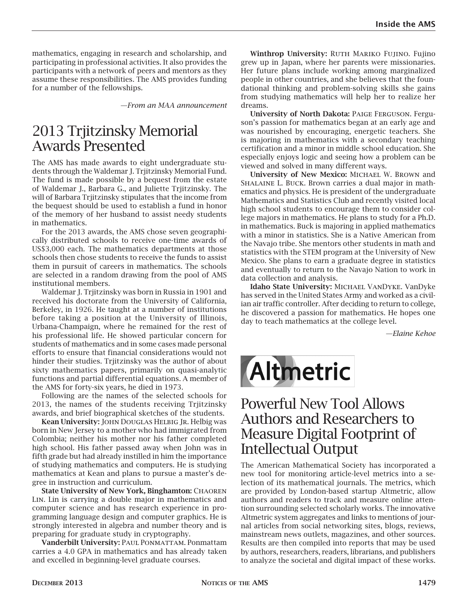mathematics, engaging in research and scholarship, and participating in professional activities. It also provides the participants with a network of peers and mentors as they assume these responsibilities. The AMS provides funding for a number of the fellowships.

*—From an MAA announcement*

#### 2013 Trjitzinsky Memorial Awards Presented

The AMS has made awards to eight undergraduate students through the Waldemar J. Trjitzinsky Memorial Fund. The fund is made possible by a bequest from the estate of Waldemar J., Barbara G., and Juliette Trjitzinsky. The will of Barbara Trjitzinsky stipulates that the income from the bequest should be used to establish a fund in honor of the memory of her husband to assist needy students in mathematics.

For the 2013 awards, the AMS chose seven geographically distributed schools to receive one-time awards of US\$3,000 each. The mathematics departments at those schools then chose students to receive the funds to assist them in pursuit of careers in mathematics. The schools are selected in a random drawing from the pool of AMS institutional members.

Waldemar J. Trjitzinsky was born in Russia in 1901 and received his doctorate from the University of California, Berkeley, in 1926. He taught at a number of institutions before taking a position at the University of Illinois, Urbana-Champaign, where he remained for the rest of his professional life. He showed particular concern for students of mathematics and in some cases made personal efforts to ensure that financial considerations would not hinder their studies. Trjitzinsky was the author of about sixty mathematics papers, primarily on quasi-analytic functions and partial differential equations. A member of the AMS for forty-six years, he died in 1973.

Following are the names of the selected schools for 2013, the names of the students receiving Trjitzinsky awards, and brief biographical sketches of the students.

Kean University: JOHN DOUGLAS HELBIG JR. Helbig was born in New Jersey to a mother who had immigrated from Colombia; neither his mother nor his father completed high school. His father passed away when John was in fifth grade but had already instilled in him the importance of studying mathematics and computers. He is studying mathematics at Kean and plans to pursue a master's degree in instruction and curriculum.

State University of New York, Binghamton: CHAOREN Lin. Lin is carrying a double major in mathematics and computer science and has research experience in programming language design and computer graphics. He is strongly interested in algebra and number theory and is preparing for graduate study in cryptography.

Vanderbilt University: PAUL PONMATTAM. Ponmattam carries a 4.0 GPA in mathematics and has already taken and excelled in beginning-level graduate courses.

Winthrop University: RUTH MARIKO FUJINO. Fujino grew up in Japan, where her parents were missionaries. Her future plans include working among marginalized people in other countries, and she believes that the foundational thinking and problem-solving skills she gains from studying mathematics will help her to realize her dreams.

University of North Dakota: Paige Ferguson. Ferguson's passion for mathematics began at an early age and was nourished by encouraging, energetic teachers. She is majoring in mathematics with a secondary teaching certification and a minor in middle school education. She especially enjoys logic and seeing how a problem can be viewed and solved in many different ways.

University of New Mexico: Michael W. Brown and Shalaine L. Buck. Brown carries a dual major in mathematics and physics. He is president of the undergraduate Mathematics and Statistics Club and recently visited local high school students to encourage them to consider college majors in mathematics. He plans to study for a Ph.D. in mathematics. Buck is majoring in applied mathematics with a minor in statistics. She is a Native American from the Navajo tribe. She mentors other students in math and statistics with the STEM program at the University of New Mexico. She plans to earn a graduate degree in statistics and eventually to return to the Navajo Nation to work in data collection and analysis.

Idaho State University: MICHAEL VANDYKE. VanDyke has served in the United States Army and worked as a civilian air traffic controller. After deciding to return to college, he discovered a passion for mathematics. He hopes one day to teach mathematics at the college level.

*—Elaine Kehoe*



#### Powerful New Tool Allows Authors and Researchers to Measure Digital Footprint of Intellectual Output

The American Mathematical Society has incorporated a new tool for monitoring article-level metrics into a selection of its mathematical journals. The metrics, which are provided by London-based startup Altmetric, allow authors and readers to track and measure online attention surrounding selected scholarly works. The innovative Altmetric system aggregates and links to mentions of journal articles from social networking sites, blogs, reviews, mainstream news outlets, magazines, and other sources. Results are then compiled into reports that may be used by authors, researchers, readers, librarians, and publishers to analyze the societal and digital impact of these works.